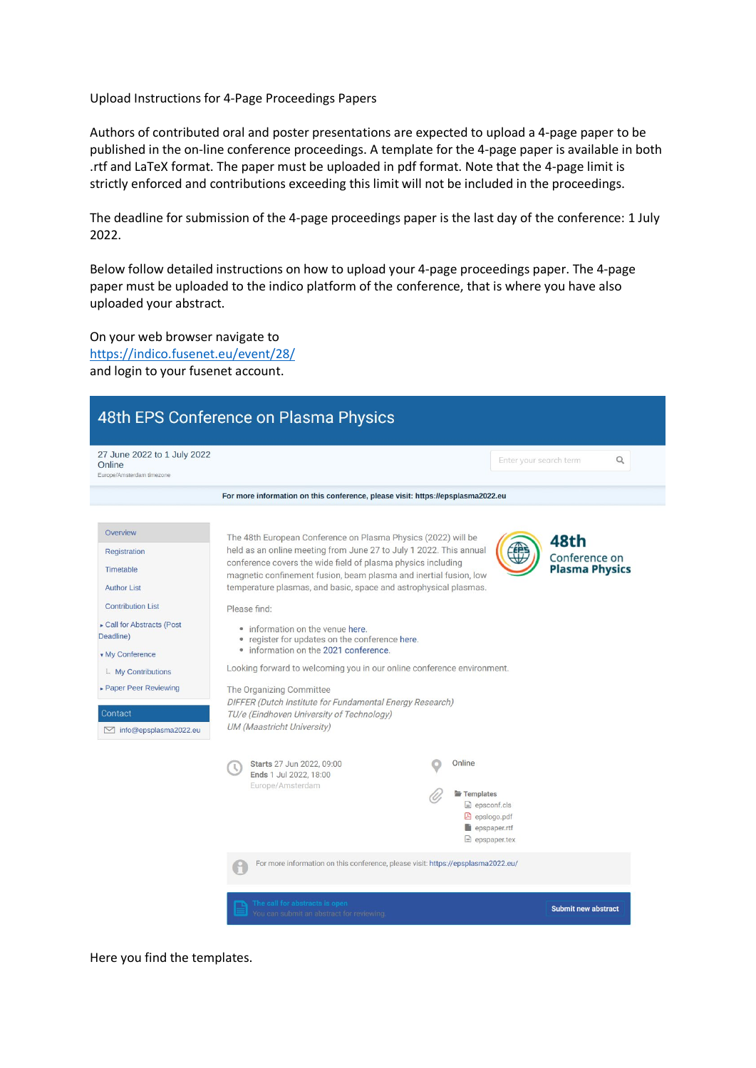Upload Instructions for 4-Page Proceedings Papers

Authors of contributed oral and poster presentations are expected to upload a 4-page paper to be published in the on-line conference proceedings. A template for the 4-page paper is available in both .rtf and LaTeX format. The paper must be uploaded in pdf format. Note that the 4-page limit is strictly enforced and contributions exceeding this limit will not be included in the proceedings.

The deadline for submission of the 4-page proceedings paper is the last day of the conference: 1 July 2022.

Below follow detailed instructions on how to upload your 4-page proceedings paper. The 4-page paper must be uploaded to the indico platform of the conference, that is where you have also uploaded your abstract.

On your web browser navigate to <https://indico.fusenet.eu/event/28/> and login to your fusenet account.



Here you find the templates.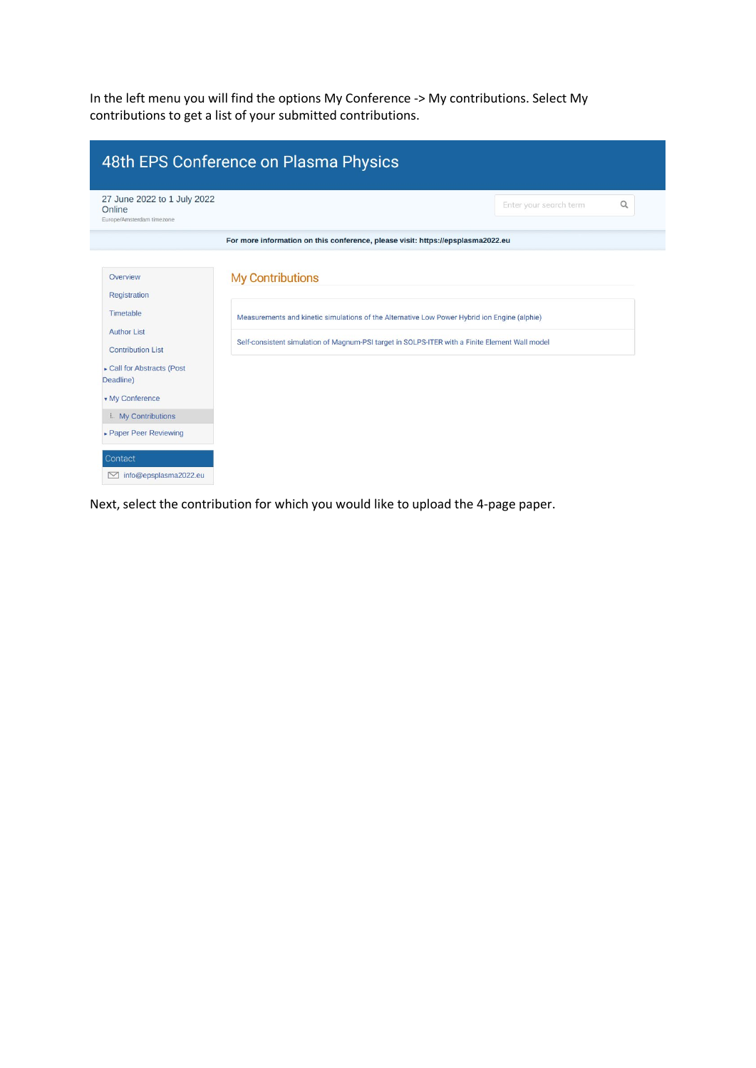In the left menu you will find the options My Conference -> My contributions. Select My contributions to get a list of your submitted contributions.

| 48th EPS Conference on Plasma Physics                                                                                              |                                                                                                                                                                                                                           |                             |  |  |  |
|------------------------------------------------------------------------------------------------------------------------------------|---------------------------------------------------------------------------------------------------------------------------------------------------------------------------------------------------------------------------|-----------------------------|--|--|--|
| 27 June 2022 to 1 July 2022<br>Online<br>Europe/Amsterdam timezone                                                                 |                                                                                                                                                                                                                           | Q<br>Enter your search term |  |  |  |
|                                                                                                                                    | For more information on this conference, please visit: https://epsplasma2022.eu                                                                                                                                           |                             |  |  |  |
| Overview<br>Registration<br>Timetable<br><b>Author List</b><br><b>Contribution List</b><br>► Call for Abstracts (Post<br>Deadline) | <b>My Contributions</b><br>Measurements and kinetic simulations of the Alternative Low Power Hybrid ion Engine (alphie)<br>Self-consistent simulation of Magnum-PSI target in SOLPS-ITER with a Finite Element Wall model |                             |  |  |  |
| <b>v</b> My Conference<br>L. My Contributions<br>► Paper Peer Reviewing                                                            |                                                                                                                                                                                                                           |                             |  |  |  |
| Contact<br>info@epsplasma2022.eu<br>$\sim$                                                                                         |                                                                                                                                                                                                                           |                             |  |  |  |

Next, select the contribution for which you would like to upload the 4-page paper.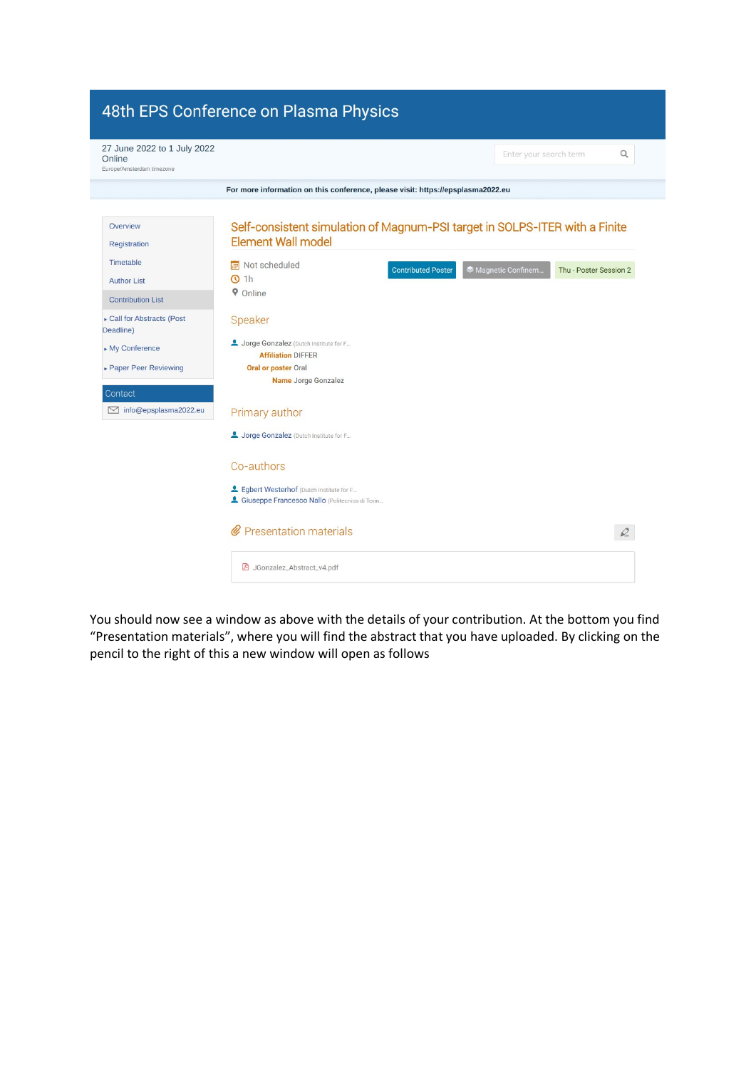

You should now see a window as above with the details of your contribution. At the bottom you find "Presentation materials", where you will find the abstract that you have uploaded. By clicking on the pencil to the right of this a new window will open as follows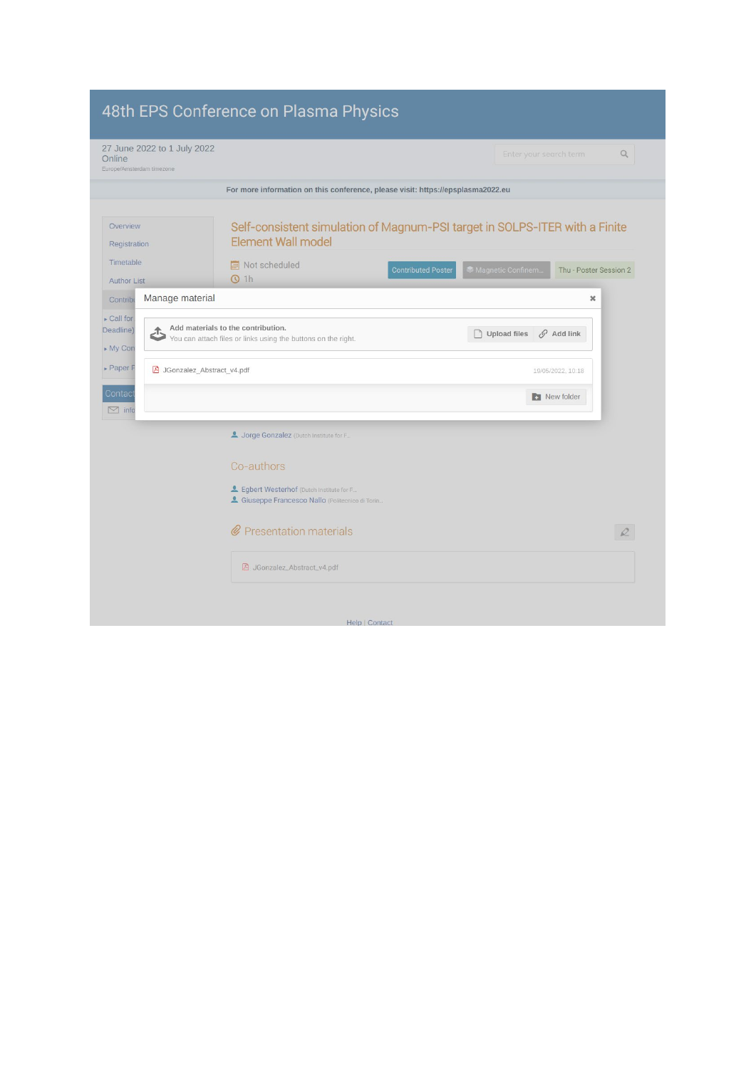| 48th EPS Conference on Plasma Physics                              |                                                                                                                                                        |                                              |  |  |  |
|--------------------------------------------------------------------|--------------------------------------------------------------------------------------------------------------------------------------------------------|----------------------------------------------|--|--|--|
| 27 June 2022 to 1 July 2022<br>Online<br>Europe/Amsterdam timezone |                                                                                                                                                        | Q<br>Enter your search term                  |  |  |  |
|                                                                    | For more information on this conference, please visit: https://epsplasma2022.eu                                                                        |                                              |  |  |  |
| Overview<br>Registration<br>Timetable                              | Self-consistent simulation of Magnum-PSI target in SOLPS-ITER with a Finite<br><b>Element Wall model</b><br>Not scheduled<br><b>Contributed Poster</b> | Magnetic Confinem.<br>Thu - Poster Session 2 |  |  |  |
| <b>Author List</b><br>Contribu                                     | $Q$ 1h<br>Manage material                                                                                                                              | $\boldsymbol{\times}$                        |  |  |  |
| $\triangleright$ Call for<br>Deadline)<br>€<br>$My$ Con            | Add materials to the contribution.<br>You can attach files or links using the buttons on the right.                                                    | Upload files<br>$\mathscr{O}$ Add link       |  |  |  |
| $\triangleright$ Paper F                                           | A JGonzalez_Abstract_v4.pdf                                                                                                                            | 19/05/2022, 10:18                            |  |  |  |
| <b>Contact</b><br>$\boxdot$ info                                   |                                                                                                                                                        | <b>B</b> New folder                          |  |  |  |
|                                                                    | Jorge Gonzalez (Dutch Institute for F.,                                                                                                                |                                              |  |  |  |
|                                                                    | Co-authors                                                                                                                                             |                                              |  |  |  |
|                                                                    | Legbert Westerhof (Dutch Institute for F<br>4 Giuseppe Francesco Nallo (Politecnico di Torin                                                           |                                              |  |  |  |
|                                                                    | @ Presentation materials                                                                                                                               | $\mathcal{Q}$                                |  |  |  |
|                                                                    | A JGonzalez_Abstract_v4.pdf                                                                                                                            |                                              |  |  |  |
|                                                                    | Help   Contact                                                                                                                                         |                                              |  |  |  |